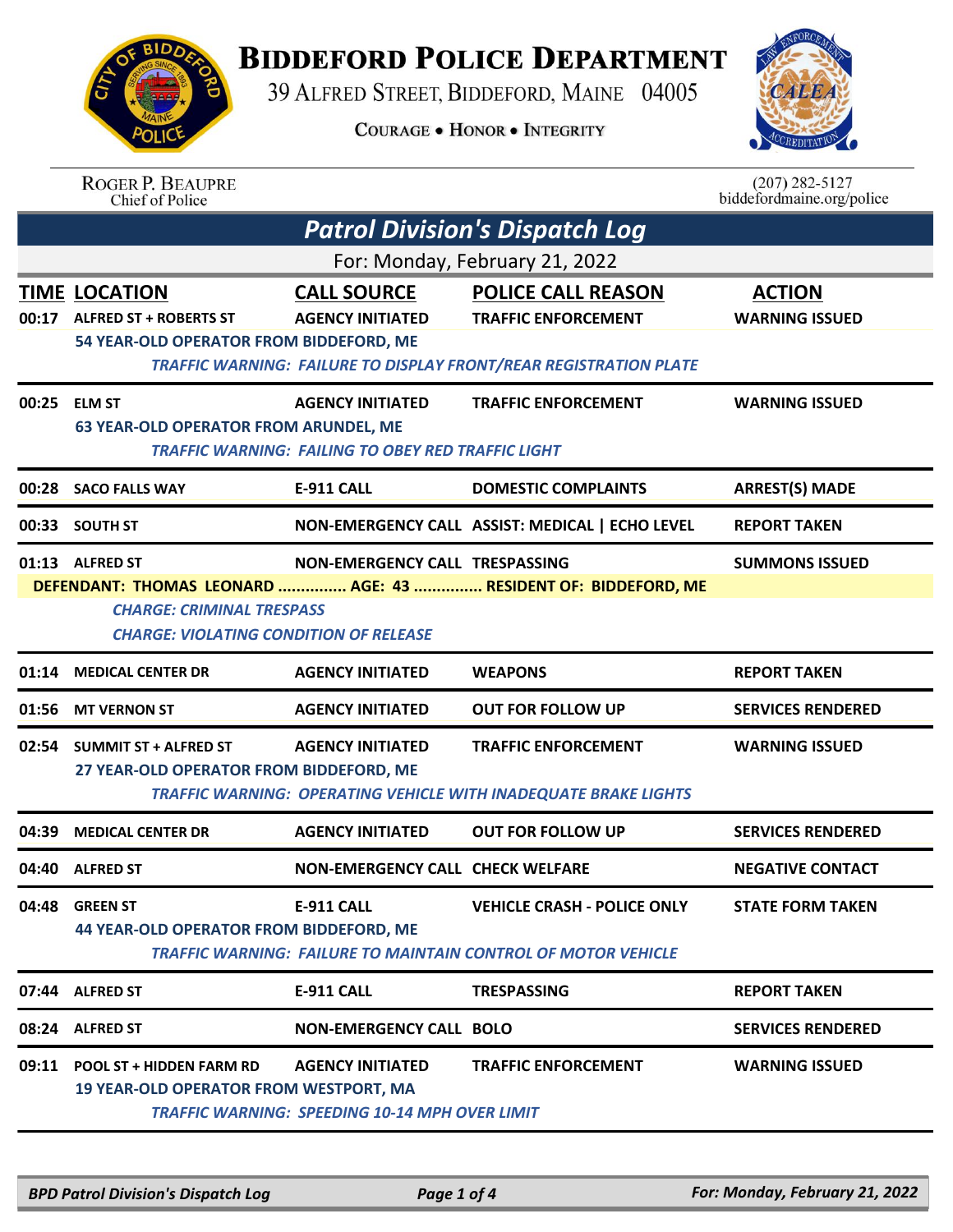## **BIDDEFORD POLICE DEPARTMENT**

39 ALFRED STREET, BIDDEFORD, MAINE 04005

**COURAGE . HONOR . INTEGRITY** 



## ROGER P. BEAUPRE<br>Chief of Police

 $(207)$  282-5127 biddefordmaine.org/police

| <b>Patrol Division's Dispatch Log</b> |                                                                                                                                                                        |                                                                                      |                                                                                                                                     |                                        |  |  |
|---------------------------------------|------------------------------------------------------------------------------------------------------------------------------------------------------------------------|--------------------------------------------------------------------------------------|-------------------------------------------------------------------------------------------------------------------------------------|----------------------------------------|--|--|
|                                       | For: Monday, February 21, 2022                                                                                                                                         |                                                                                      |                                                                                                                                     |                                        |  |  |
| 00:17                                 | <b>TIME LOCATION</b><br><b>ALFRED ST + ROBERTS ST</b><br>54 YEAR-OLD OPERATOR FROM BIDDEFORD, ME                                                                       | <b>CALL SOURCE</b><br><b>AGENCY INITIATED</b>                                        | <b>POLICE CALL REASON</b><br><b>TRAFFIC ENFORCEMENT</b><br><b>TRAFFIC WARNING: FAILURE TO DISPLAY FRONT/REAR REGISTRATION PLATE</b> | <b>ACTION</b><br><b>WARNING ISSUED</b> |  |  |
|                                       | 00:25 ELM ST<br><b>63 YEAR-OLD OPERATOR FROM ARUNDEL, ME</b>                                                                                                           | <b>AGENCY INITIATED</b><br><b>TRAFFIC WARNING: FAILING TO OBEY RED TRAFFIC LIGHT</b> | <b>TRAFFIC ENFORCEMENT</b>                                                                                                          | <b>WARNING ISSUED</b>                  |  |  |
|                                       | 00:28 SACO FALLS WAY                                                                                                                                                   | E-911 CALL                                                                           | <b>DOMESTIC COMPLAINTS</b>                                                                                                          | <b>ARREST(S) MADE</b>                  |  |  |
|                                       | 00:33 SOUTH ST                                                                                                                                                         |                                                                                      | NON-EMERGENCY CALL ASSIST: MEDICAL   ECHO LEVEL                                                                                     | <b>REPORT TAKEN</b>                    |  |  |
|                                       | 01:13 ALFRED ST<br>DEFENDANT: THOMAS LEONARD  AGE: 43  RESIDENT OF: BIDDEFORD, ME<br><b>CHARGE: CRIMINAL TRESPASS</b><br><b>CHARGE: VIOLATING CONDITION OF RELEASE</b> | <b>SUMMONS ISSUED</b>                                                                |                                                                                                                                     |                                        |  |  |
|                                       | 01:14 MEDICAL CENTER DR                                                                                                                                                | <b>AGENCY INITIATED</b>                                                              | <b>WEAPONS</b>                                                                                                                      | <b>REPORT TAKEN</b>                    |  |  |
|                                       | 01:56 MT VERNON ST                                                                                                                                                     | <b>AGENCY INITIATED</b>                                                              | <b>OUT FOR FOLLOW UP</b>                                                                                                            | <b>SERVICES RENDERED</b>               |  |  |
|                                       | 02:54 SUMMIT ST + ALFRED ST<br>27 YEAR-OLD OPERATOR FROM BIDDEFORD, ME                                                                                                 | <b>AGENCY INITIATED</b>                                                              | <b>TRAFFIC ENFORCEMENT</b><br><b>TRAFFIC WARNING: OPERATING VEHICLE WITH INADEQUATE BRAKE LIGHTS</b>                                | <b>WARNING ISSUED</b>                  |  |  |
| 04:39                                 | <b>MEDICAL CENTER DR</b>                                                                                                                                               | <b>AGENCY INITIATED</b>                                                              | <b>OUT FOR FOLLOW UP</b>                                                                                                            | <b>SERVICES RENDERED</b>               |  |  |
|                                       | 04:40 ALFRED ST                                                                                                                                                        | <b>NON-EMERGENCY CALL CHECK WELFARE</b>                                              |                                                                                                                                     | <b>NEGATIVE CONTACT</b>                |  |  |
|                                       | 04:48 GREEN ST<br><b>44 YEAR-OLD OPERATOR FROM BIDDEFORD, ME</b>                                                                                                       | E-911 CALL                                                                           | <b>VEHICLE CRASH - POLICE ONLY</b><br><b>TRAFFIC WARNING: FAILURE TO MAINTAIN CONTROL OF MOTOR VEHICLE</b>                          | <b>STATE FORM TAKEN</b>                |  |  |
|                                       | 07:44 ALFRED ST                                                                                                                                                        | <b>E-911 CALL</b>                                                                    | <b>TRESPASSING</b>                                                                                                                  | <b>REPORT TAKEN</b>                    |  |  |
|                                       | 08:24 ALFRED ST                                                                                                                                                        | <b>NON-EMERGENCY CALL BOLO</b>                                                       |                                                                                                                                     | <b>SERVICES RENDERED</b>               |  |  |
|                                       | 09:11 POOL ST + HIDDEN FARM RD<br><b>19 YEAR-OLD OPERATOR FROM WESTPORT, MA</b>                                                                                        | <b>AGENCY INITIATED</b><br><b>TRAFFIC WARNING: SPEEDING 10-14 MPH OVER LIMIT</b>     | <b>TRAFFIC ENFORCEMENT</b>                                                                                                          | <b>WARNING ISSUED</b>                  |  |  |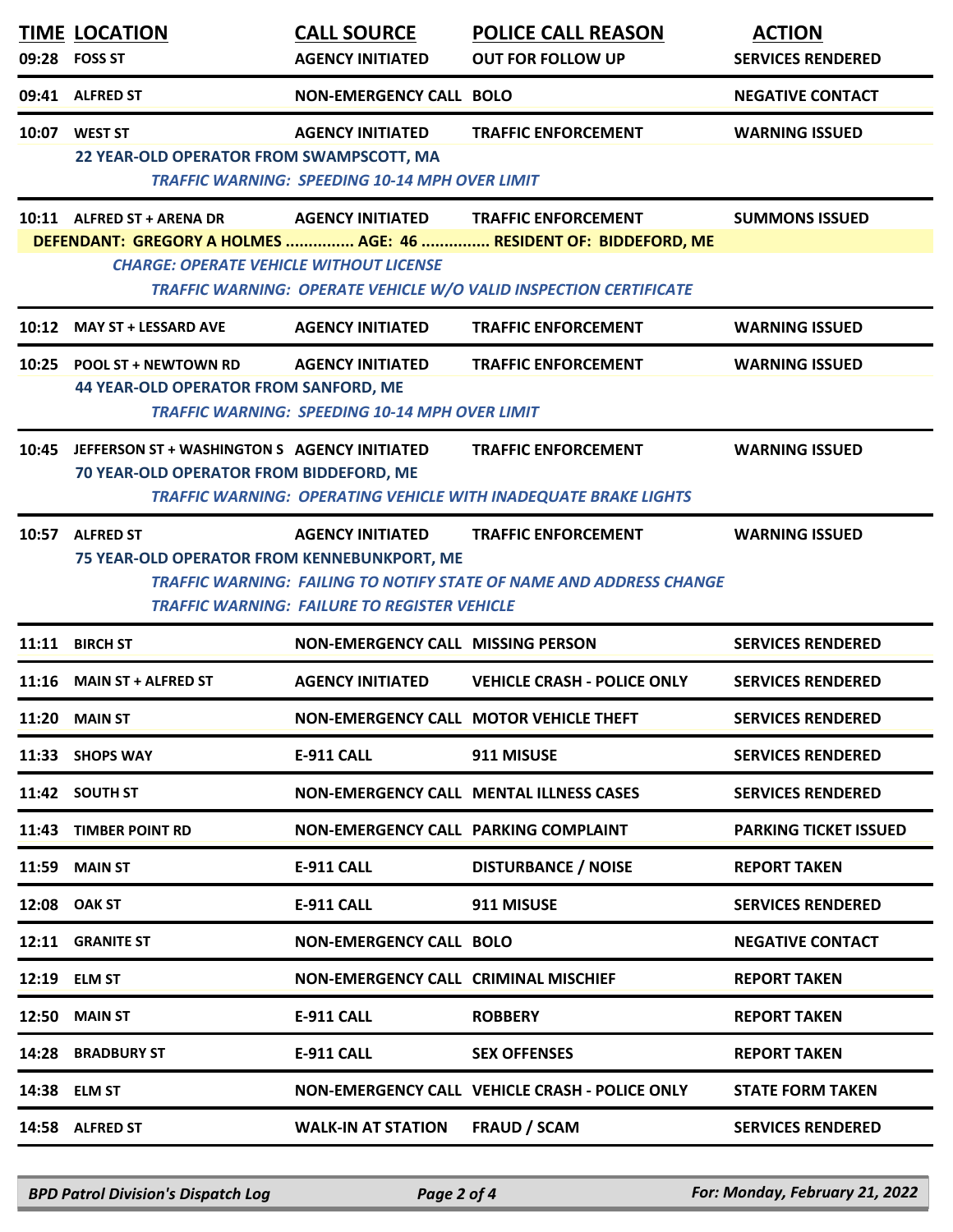|       | <b>TIME LOCATION</b><br>09:28 FOSS ST                                                   | <b>CALL SOURCE</b><br><b>AGENCY INITIATED</b>                                    | <b>POLICE CALL REASON</b><br><b>OUT FOR FOLLOW UP</b>                                                                                                                         | <b>ACTION</b><br><b>SERVICES RENDERED</b> |
|-------|-----------------------------------------------------------------------------------------|----------------------------------------------------------------------------------|-------------------------------------------------------------------------------------------------------------------------------------------------------------------------------|-------------------------------------------|
|       | 09:41 ALFRED ST                                                                         | <b>NON-EMERGENCY CALL BOLO</b>                                                   |                                                                                                                                                                               | <b>NEGATIVE CONTACT</b>                   |
|       | 10:07 WEST ST<br>22 YEAR-OLD OPERATOR FROM SWAMPSCOTT, MA                               | <b>AGENCY INITIATED</b><br><b>TRAFFIC WARNING: SPEEDING 10-14 MPH OVER LIMIT</b> | <b>TRAFFIC ENFORCEMENT</b>                                                                                                                                                    | <b>WARNING ISSUED</b>                     |
|       | 10:11 ALFRED ST + ARENA DR<br><b>CHARGE: OPERATE VEHICLE WITHOUT LICENSE</b>            |                                                                                  | AGENCY INITIATED TRAFFIC ENFORCEMENT<br>DEFENDANT: GREGORY A HOLMES  AGE: 46  RESIDENT OF: BIDDEFORD, ME<br>TRAFFIC WARNING: OPERATE VEHICLE W/O VALID INSPECTION CERTIFICATE | <b>SUMMONS ISSUED</b>                     |
|       | 10:12 MAY ST + LESSARD AVE                                                              | <b>AGENCY INITIATED</b>                                                          | <b>TRAFFIC ENFORCEMENT</b>                                                                                                                                                    | <b>WARNING ISSUED</b>                     |
|       | 10:25 POOL ST + NEWTOWN RD<br><b>44 YEAR-OLD OPERATOR FROM SANFORD, ME</b>              | <b>AGENCY INITIATED</b><br><b>TRAFFIC WARNING: SPEEDING 10-14 MPH OVER LIMIT</b> | <b>TRAFFIC ENFORCEMENT</b>                                                                                                                                                    | <b>WARNING ISSUED</b>                     |
| 10:45 | JEFFERSON ST + WASHINGTON S AGENCY INITIATED<br>70 YEAR-OLD OPERATOR FROM BIDDEFORD, ME |                                                                                  | <b>TRAFFIC ENFORCEMENT</b><br><b>TRAFFIC WARNING: OPERATING VEHICLE WITH INADEQUATE BRAKE LIGHTS</b>                                                                          | <b>WARNING ISSUED</b>                     |
|       | 10:57 ALFRED ST<br>75 YEAR-OLD OPERATOR FROM KENNEBUNKPORT, ME                          | <b>AGENCY INITIATED</b><br><b>TRAFFIC WARNING: FAILURE TO REGISTER VEHICLE</b>   | <b>TRAFFIC ENFORCEMENT</b><br><b>TRAFFIC WARNING: FAILING TO NOTIFY STATE OF NAME AND ADDRESS CHANGE</b>                                                                      | <b>WARNING ISSUED</b>                     |
| 11:11 | <b>BIRCH ST</b>                                                                         | <b>NON-EMERGENCY CALL MISSING PERSON</b>                                         |                                                                                                                                                                               | <b>SERVICES RENDERED</b>                  |
|       | 11:16 MAIN ST + ALFRED ST                                                               | <b>AGENCY INITIATED</b>                                                          | <b>VEHICLE CRASH - POLICE ONLY</b>                                                                                                                                            | <b>SERVICES RENDERED</b>                  |
|       | 11:20 MAIN ST                                                                           |                                                                                  | NON-EMERGENCY CALL MOTOR VEHICLE THEFT                                                                                                                                        | <b>SERVICES RENDERED</b>                  |
|       | 11:33 SHOPS WAY                                                                         | <b>E-911 CALL</b>                                                                | 911 MISUSE                                                                                                                                                                    | <b>SERVICES RENDERED</b>                  |
|       | 11:42 SOUTH ST                                                                          |                                                                                  | <b>NON-EMERGENCY CALL MENTAL ILLNESS CASES</b>                                                                                                                                | <b>SERVICES RENDERED</b>                  |
| 11:43 | <b>TIMBER POINT RD</b>                                                                  | NON-EMERGENCY CALL PARKING COMPLAINT                                             |                                                                                                                                                                               | <b>PARKING TICKET ISSUED</b>              |
| 11:59 | <b>MAIN ST</b>                                                                          | <b>E-911 CALL</b>                                                                | <b>DISTURBANCE / NOISE</b>                                                                                                                                                    | <b>REPORT TAKEN</b>                       |
|       | 12:08 OAK ST                                                                            | E-911 CALL                                                                       | 911 MISUSE                                                                                                                                                                    | <b>SERVICES RENDERED</b>                  |
| 12:11 | <b>GRANITE ST</b>                                                                       | <b>NON-EMERGENCY CALL BOLO</b>                                                   |                                                                                                                                                                               | <b>NEGATIVE CONTACT</b>                   |
| 12:19 | <b>ELM ST</b>                                                                           | <b>NON-EMERGENCY CALL CRIMINAL MISCHIEF</b>                                      |                                                                                                                                                                               | <b>REPORT TAKEN</b>                       |
| 12:50 | <b>MAIN ST</b>                                                                          | <b>E-911 CALL</b>                                                                | <b>ROBBERY</b>                                                                                                                                                                | <b>REPORT TAKEN</b>                       |
| 14:28 | <b>BRADBURY ST</b>                                                                      | E-911 CALL                                                                       | <b>SEX OFFENSES</b>                                                                                                                                                           | <b>REPORT TAKEN</b>                       |
| 14:38 | <b>ELM ST</b>                                                                           |                                                                                  | NON-EMERGENCY CALL VEHICLE CRASH - POLICE ONLY                                                                                                                                | <b>STATE FORM TAKEN</b>                   |
|       | 14:58 ALFRED ST                                                                         | <b>WALK-IN AT STATION</b>                                                        | <b>FRAUD / SCAM</b>                                                                                                                                                           | <b>SERVICES RENDERED</b>                  |

*BPD Patrol Division's Dispatch Log Page 2 of 4 For: Monday, February 21, 2022*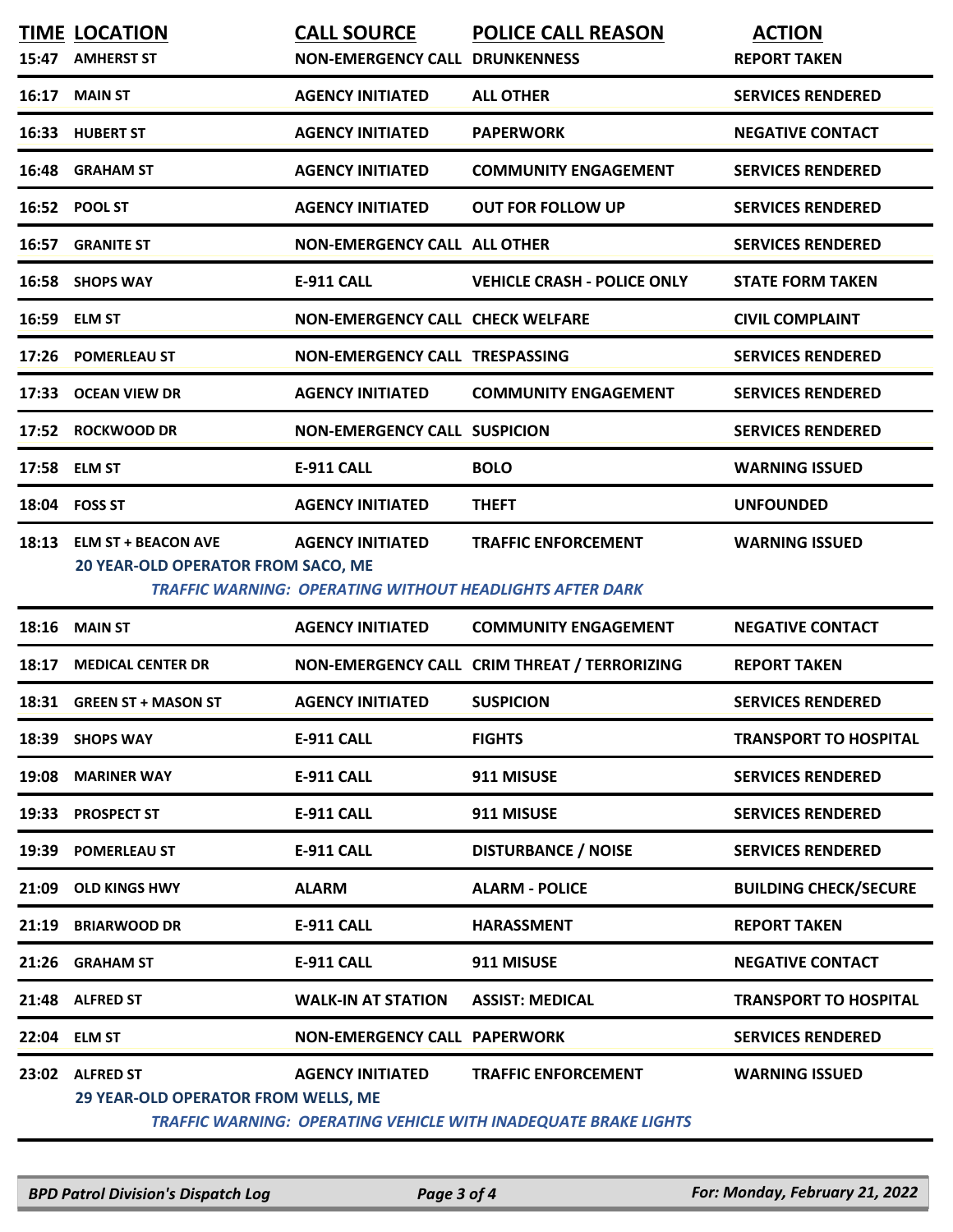| 15:47 | <b>TIME LOCATION</b><br><b>AMHERST ST</b>                               | <b>CALL SOURCE</b><br><b>NON-EMERGENCY CALL DRUNKENNESS</b>                                | <b>POLICE CALL REASON</b>                    | <b>ACTION</b><br><b>REPORT TAKEN</b> |
|-------|-------------------------------------------------------------------------|--------------------------------------------------------------------------------------------|----------------------------------------------|--------------------------------------|
| 16:17 | <b>MAIN ST</b>                                                          | <b>AGENCY INITIATED</b>                                                                    | <b>ALL OTHER</b>                             | <b>SERVICES RENDERED</b>             |
| 16:33 | <b>HUBERT ST</b>                                                        | <b>AGENCY INITIATED</b>                                                                    | <b>PAPERWORK</b>                             | <b>NEGATIVE CONTACT</b>              |
| 16:48 | <b>GRAHAM ST</b>                                                        | <b>AGENCY INITIATED</b>                                                                    | <b>COMMUNITY ENGAGEMENT</b>                  | <b>SERVICES RENDERED</b>             |
| 16:52 | <b>POOL ST</b>                                                          | <b>AGENCY INITIATED</b>                                                                    | <b>OUT FOR FOLLOW UP</b>                     | <b>SERVICES RENDERED</b>             |
| 16:57 | <b>GRANITE ST</b>                                                       | <b>NON-EMERGENCY CALL ALL OTHER</b>                                                        |                                              | <b>SERVICES RENDERED</b>             |
| 16:58 | <b>SHOPS WAY</b>                                                        | <b>E-911 CALL</b>                                                                          | <b>VEHICLE CRASH - POLICE ONLY</b>           | <b>STATE FORM TAKEN</b>              |
| 16:59 | <b>ELM ST</b>                                                           | <b>NON-EMERGENCY CALL CHECK WELFARE</b>                                                    |                                              | <b>CIVIL COMPLAINT</b>               |
| 17:26 | <b>POMERLEAU ST</b>                                                     | NON-EMERGENCY CALL TRESPASSING                                                             |                                              | <b>SERVICES RENDERED</b>             |
| 17:33 | <b>OCEAN VIEW DR</b>                                                    | <b>AGENCY INITIATED</b>                                                                    | <b>COMMUNITY ENGAGEMENT</b>                  | <b>SERVICES RENDERED</b>             |
| 17:52 | <b>ROCKWOOD DR</b>                                                      | <b>NON-EMERGENCY CALL SUSPICION</b>                                                        |                                              | <b>SERVICES RENDERED</b>             |
| 17:58 | <b>ELM ST</b>                                                           | <b>E-911 CALL</b>                                                                          | <b>BOLO</b>                                  | <b>WARNING ISSUED</b>                |
| 18:04 | <b>FOSS ST</b>                                                          | <b>AGENCY INITIATED</b>                                                                    | <b>THEFT</b>                                 | <b>UNFOUNDED</b>                     |
| 18:13 | <b>ELM ST + BEACON AVE</b><br><b>20 YEAR-OLD OPERATOR FROM SACO, ME</b> | <b>AGENCY INITIATED</b><br><b>TRAFFIC WARNING: OPERATING WITHOUT HEADLIGHTS AFTER DARK</b> | <b>TRAFFIC ENFORCEMENT</b>                   | <b>WARNING ISSUED</b>                |
| 18:16 | <b>MAIN ST</b>                                                          | <b>AGENCY INITIATED</b>                                                                    | <b>COMMUNITY ENGAGEMENT</b>                  | <b>NEGATIVE CONTACT</b>              |
| 18:17 | <b>MEDICAL CENTER DR</b>                                                |                                                                                            | NON-EMERGENCY CALL CRIM THREAT / TERRORIZING | <b>REPORT TAKEN</b>                  |
| 18:31 | <b>GREEN ST + MASON ST</b>                                              | <b>AGENCY INITIATED</b>                                                                    | <b>SUSPICION</b>                             | <b>SERVICES RENDERED</b>             |
| 18:39 | <b>SHOPS WAY</b>                                                        | <b>E-911 CALL</b>                                                                          | <b>FIGHTS</b>                                | <b>TRANSPORT TO HOSPITAL</b>         |
| 19:08 | <b>MARINER WAY</b>                                                      | <b>E-911 CALL</b>                                                                          | 911 MISUSE                                   | <b>SERVICES RENDERED</b>             |
| 19:33 | <b>PROSPECT ST</b>                                                      | <b>E-911 CALL</b>                                                                          | 911 MISUSE                                   | <b>SERVICES RENDERED</b>             |
| 19:39 | <b>POMERLEAU ST</b>                                                     | <b>E-911 CALL</b>                                                                          | <b>DISTURBANCE / NOISE</b>                   | <b>SERVICES RENDERED</b>             |
| 21:09 |                                                                         |                                                                                            |                                              |                                      |
|       | <b>OLD KINGS HWY</b>                                                    | <b>ALARM</b>                                                                               | <b>ALARM - POLICE</b>                        | <b>BUILDING CHECK/SECURE</b>         |
| 21:19 | <b>BRIARWOOD DR</b>                                                     | <b>E-911 CALL</b>                                                                          | <b>HARASSMENT</b>                            | <b>REPORT TAKEN</b>                  |
| 21:26 | <b>GRAHAM ST</b>                                                        | <b>E-911 CALL</b>                                                                          | 911 MISUSE                                   | <b>NEGATIVE CONTACT</b>              |
| 21:48 | <b>ALFRED ST</b>                                                        | <b>WALK-IN AT STATION</b>                                                                  | <b>ASSIST: MEDICAL</b>                       | <b>TRANSPORT TO HOSPITAL</b>         |
| 22:04 | <b>ELM ST</b>                                                           | <b>NON-EMERGENCY CALL PAPERWORK</b>                                                        |                                              | <b>SERVICES RENDERED</b>             |

*BPD Patrol Division's Dispatch Log Page 3 of 4 For: Monday, February 21, 2022*